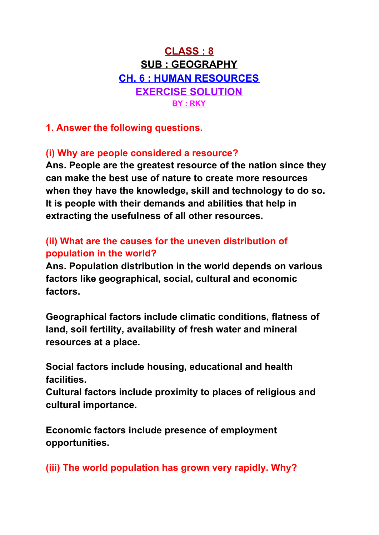# **CLASS : 8 SUB : GEOGRAPHY CH. 6 : HUMAN RESOURCES EXERCISE SOLUTION BY : RKY**

**1. Answer the following questions.**

### **(i) Why are people considered a resource?**

**Ans. People are the greatest resource of the nation since they can make the best use of nature to create more resources when they have the knowledge, skill and technology to do so. It is people with their demands and abilities that help in extracting the usefulness of all other resources.**

## **(ii) What are the causes for the uneven distribution of population in the world?**

**Ans. Population distribution in the world depends on various factors like geographical, social, cultural and economic factors.**

**Geographical factors include climatic conditions, flatness of land, soil fertility, availability of fresh water and mineral resources at a place.**

**Social factors include housing, educational and health facilities.**

**Cultural factors include proximity to places of religious and cultural importance.**

**Economic factors include presence of employment opportunities.**

**(iii) The world population has grown very rapidly. Why?**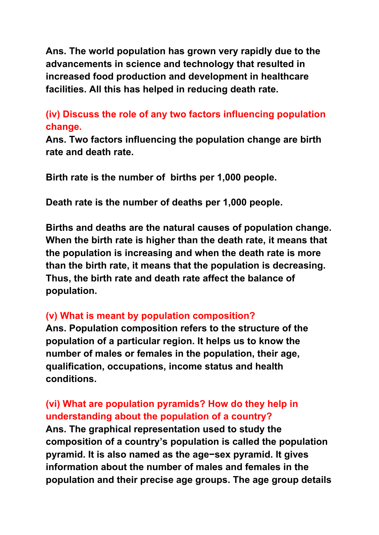**Ans. The world population has grown very rapidly due to the advancements in science and technology that resulted in increased food production and development in healthcare facilities. All this has helped in reducing death rate.**

#### **(iv) Discuss the role of any two factors influencing population change.**

**Ans. Two factors influencing the population change are birth rate and death rate.**

**Birth rate is the number of births per 1,000 people.**

**Death rate is the number of deaths per 1,000 people.**

**Births and deaths are the natural causes of population change. When the birth rate is higher than the death rate, it means that the population is increasing and when the death rate is more than the birth rate, it means that the population is decreasing. Thus, the birth rate and death rate affect the balance of population.**

#### **(v) What is meant by population composition?**

**Ans. Population composition refers to the structure of the population of a particular region. It helps us to know the number of males or females in the population, their age, qualification, occupations, income status and health conditions.**

# **(vi) What are population pyramids? How do they help in understanding about the population of a country?**

**Ans. The graphical representation used to study the composition of a country's population is called the population pyramid. It is also named as the age−sex pyramid. It gives information about the number of males and females in the population and their precise age groups. The age group details**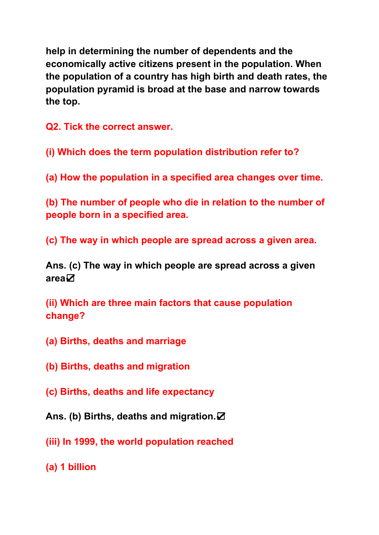**help in determining the number of dependents and the economically active citizens present in the population. When the population of a country has high birth and death rates, the population pyramid is broad at the base and narrow towards the top.**

**Q2. Tick the correct answer.**

**(i) Which does the term population distribution refer to?**

**(a) How the population in a specified area changes over time.**

**(b) The number of people who die in relation to the number of people born in a specified area.**

**(c) The way in which people are spread across a given area.**

**Ans. (c) The way in which people are spread across a given area**☑

**(ii) Which are three main factors that cause population change?**

- **(a) Births, deaths and marriage**
- **(b) Births, deaths and migration**
- **(c) Births, deaths and life expectancy**
- **Ans. (b) Births, deaths and migration.**☑
- **(iii) In 1999, the world population reached**
- **(a) 1 billion**